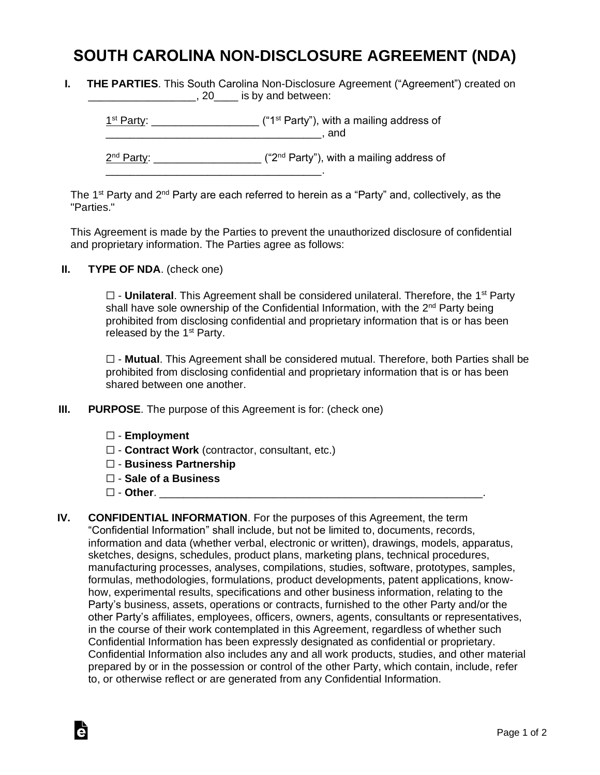## **SOUTH CAROLINA NON-DISCLOSURE AGREEMENT (NDA)**

**I. THE PARTIES**. This South Carolina Non-Disclosure Agreement ("Agreement") created on \_\_\_\_\_\_\_\_\_\_\_\_\_\_\_\_\_\_\_\_\_, 20\_\_\_\_\_ is by and between:

| 1 <sup>st</sup> Party: | ("1 <sup>st</sup> Party"), with a mailing address of<br>and |
|------------------------|-------------------------------------------------------------|
| $2nd$ Party:           | ("2 <sup>nd</sup> Party"), with a mailing address of        |

The 1<sup>st</sup> Party and 2<sup>nd</sup> Party are each referred to herein as a "Party" and, collectively, as the "Parties."

This Agreement is made by the Parties to prevent the unauthorized disclosure of confidential and proprietary information. The Parties agree as follows:

**II. TYPE OF NDA**. (check one)

□ - **Unilateral**. This Agreement shall be considered unilateral. Therefore, the 1<sup>st</sup> Party shall have sole ownership of the Confidential Information, with the 2<sup>nd</sup> Party being prohibited from disclosing confidential and proprietary information that is or has been released by the  $1<sup>st</sup>$  Party.

☐ - **Mutual**. This Agreement shall be considered mutual. Therefore, both Parties shall be prohibited from disclosing confidential and proprietary information that is or has been shared between one another.

- **III. PURPOSE**. The purpose of this Agreement is for: (check one)
	- ☐ **Employment**
	- ☐ **Contract Work** (contractor, consultant, etc.)
	- ☐ **Business Partnership**
	- ☐ **Sale of a Business**
	- ☐ **Other**. \_\_\_\_\_\_\_\_\_\_\_\_\_\_\_\_\_\_\_\_\_\_\_\_\_\_\_\_\_\_\_\_\_\_\_\_\_\_\_\_\_\_\_\_\_\_\_\_\_\_\_\_\_\_.

Ġ

**IV. CONFIDENTIAL INFORMATION**. For the purposes of this Agreement, the term "Confidential Information" shall include, but not be limited to, documents, records, information and data (whether verbal, electronic or written), drawings, models, apparatus, sketches, designs, schedules, product plans, marketing plans, technical procedures, manufacturing processes, analyses, compilations, studies, software, prototypes, samples, formulas, methodologies, formulations, product developments, patent applications, knowhow, experimental results, specifications and other business information, relating to the Party's business, assets, operations or contracts, furnished to the other Party and/or the other Party's affiliates, employees, officers, owners, agents, consultants or representatives, in the course of their work contemplated in this Agreement, regardless of whether such Confidential Information has been expressly designated as confidential or proprietary. Confidential Information also includes any and all work products, studies, and other material prepared by or in the possession or control of the other Party, which contain, include, refer to, or otherwise reflect or are generated from any Confidential Information.